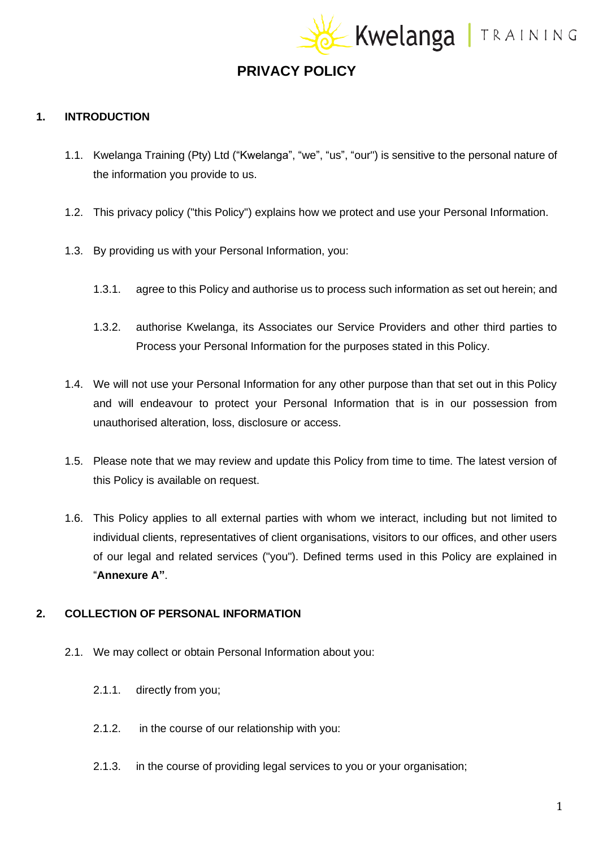EKwelanga | TRAINING

## **PRIVACY POLICY**

#### **1. INTRODUCTION**

- 1.1. Kwelanga Training (Pty) Ltd ("Kwelanga", "we", "us", "our") is sensitive to the personal nature of the information you provide to us.
- 1.2. This privacy policy ("this Policy") explains how we protect and use your Personal Information.
- 1.3. By providing us with your Personal Information, you:
	- 1.3.1. agree to this Policy and authorise us to process such information as set out herein; and
	- 1.3.2. authorise Kwelanga, its Associates our Service Providers and other third parties to Process your Personal Information for the purposes stated in this Policy.
- 1.4. We will not use your Personal Information for any other purpose than that set out in this Policy and will endeavour to protect your Personal Information that is in our possession from unauthorised alteration, loss, disclosure or access.
- 1.5. Please note that we may review and update this Policy from time to time. The latest version of this Policy is available on request.
- 1.6. This Policy applies to all external parties with whom we interact, including but not limited to individual clients, representatives of client organisations, visitors to our offices, and other users of our legal and related services ("you"). Defined terms used in this Policy are explained in "**Annexure A"**.

#### **2. COLLECTION OF PERSONAL INFORMATION**

- 2.1. We may collect or obtain Personal Information about you:
	- 2.1.1. directly from you;
	- 2.1.2. in the course of our relationship with you:
	- 2.1.3. in the course of providing legal services to you or your organisation;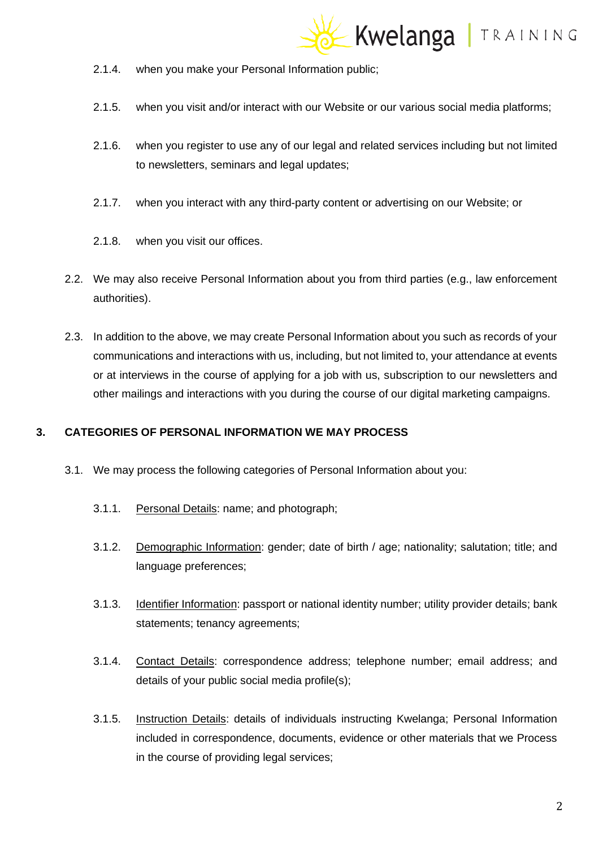

- 2.1.4. when you make your Personal Information public;
- 2.1.5. when you visit and/or interact with our Website or our various social media platforms;
- 2.1.6. when you register to use any of our legal and related services including but not limited to newsletters, seminars and legal updates;
- 2.1.7. when you interact with any third-party content or advertising on our Website; or
- 2.1.8. when you visit our offices.
- 2.2. We may also receive Personal Information about you from third parties (e.g., law enforcement authorities).
- 2.3. In addition to the above, we may create Personal Information about you such as records of your communications and interactions with us, including, but not limited to, your attendance at events or at interviews in the course of applying for a job with us, subscription to our newsletters and other mailings and interactions with you during the course of our digital marketing campaigns.

#### **3. CATEGORIES OF PERSONAL INFORMATION WE MAY PROCESS**

- 3.1. We may process the following categories of Personal Information about you:
	- 3.1.1. Personal Details: name; and photograph;
	- 3.1.2. Demographic Information: gender; date of birth / age; nationality; salutation; title; and language preferences;
	- 3.1.3. Identifier Information: passport or national identity number; utility provider details; bank statements; tenancy agreements;
	- 3.1.4. Contact Details: correspondence address; telephone number; email address; and details of your public social media profile(s);
	- 3.1.5. Instruction Details: details of individuals instructing Kwelanga; Personal Information included in correspondence, documents, evidence or other materials that we Process in the course of providing legal services;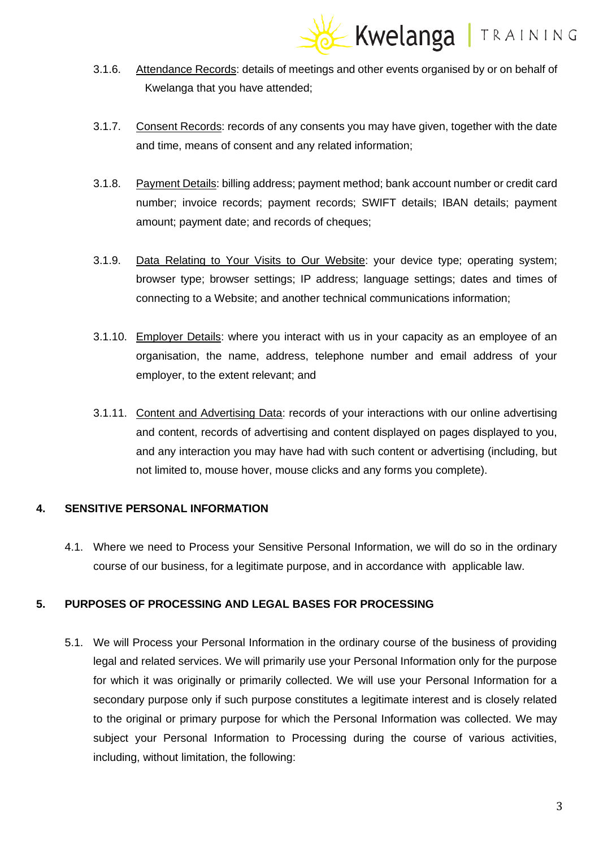

- 3.1.6. Attendance Records: details of meetings and other events organised by or on behalf of Kwelanga that you have attended;
- 3.1.7. Consent Records: records of any consents you may have given, together with the date and time, means of consent and any related information;
- 3.1.8. Payment Details: billing address; payment method; bank account number or credit card number; invoice records; payment records; SWIFT details; IBAN details; payment amount; payment date; and records of cheques;
- 3.1.9. Data Relating to Your Visits to Our Website: your device type; operating system; browser type; browser settings; IP address; language settings; dates and times of connecting to a Website; and another technical communications information;
- 3.1.10. Employer Details: where you interact with us in your capacity as an employee of an organisation, the name, address, telephone number and email address of your employer, to the extent relevant; and
- 3.1.11. Content and Advertising Data: records of your interactions with our online advertising and content, records of advertising and content displayed on pages displayed to you, and any interaction you may have had with such content or advertising (including, but not limited to, mouse hover, mouse clicks and any forms you complete).

## **4. SENSITIVE PERSONAL INFORMATION**

4.1. Where we need to Process your Sensitive Personal Information, we will do so in the ordinary course of our business, for a legitimate purpose, and in accordance with applicable law.

## **5. PURPOSES OF PROCESSING AND LEGAL BASES FOR PROCESSING**

5.1. We will Process your Personal Information in the ordinary course of the business of providing legal and related services. We will primarily use your Personal Information only for the purpose for which it was originally or primarily collected. We will use your Personal Information for a secondary purpose only if such purpose constitutes a legitimate interest and is closely related to the original or primary purpose for which the Personal Information was collected. We may subject your Personal Information to Processing during the course of various activities, including, without limitation, the following: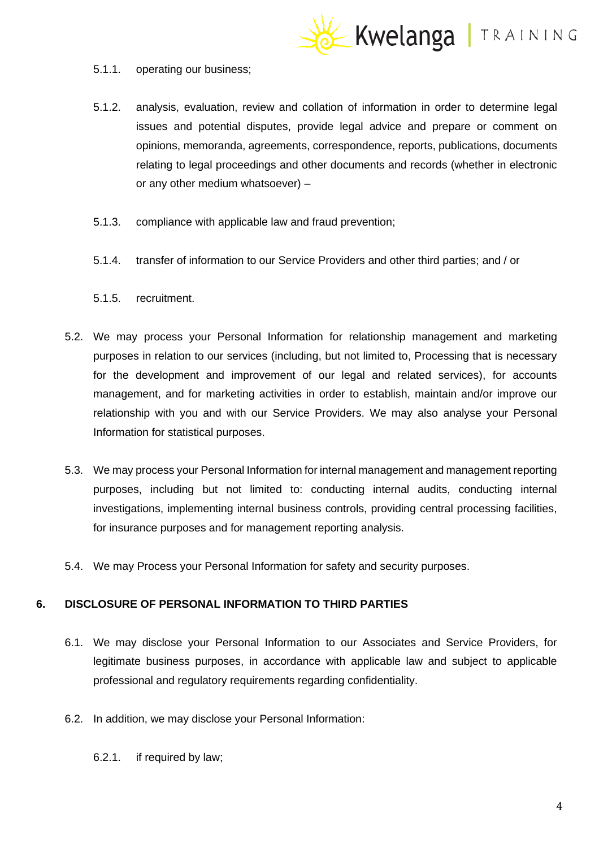

#### 5.1.1. operating our business;

- 5.1.2. analysis, evaluation, review and collation of information in order to determine legal issues and potential disputes, provide legal advice and prepare or comment on opinions, memoranda, agreements, correspondence, reports, publications, documents relating to legal proceedings and other documents and records (whether in electronic or any other medium whatsoever) –
- 5.1.3. compliance with applicable law and fraud prevention;
- 5.1.4. transfer of information to our Service Providers and other third parties; and / or
- 5.1.5. recruitment.
- 5.2. We may process your Personal Information for relationship management and marketing purposes in relation to our services (including, but not limited to, Processing that is necessary for the development and improvement of our legal and related services), for accounts management, and for marketing activities in order to establish, maintain and/or improve our relationship with you and with our Service Providers. We may also analyse your Personal Information for statistical purposes.
- 5.3. We may process your Personal Information for internal management and management reporting purposes, including but not limited to: conducting internal audits, conducting internal investigations, implementing internal business controls, providing central processing facilities, for insurance purposes and for management reporting analysis.
- 5.4. We may Process your Personal Information for safety and security purposes.

## **6. DISCLOSURE OF PERSONAL INFORMATION TO THIRD PARTIES**

- 6.1. We may disclose your Personal Information to our Associates and Service Providers, for legitimate business purposes, in accordance with applicable law and subject to applicable professional and regulatory requirements regarding confidentiality.
- 6.2. In addition, we may disclose your Personal Information:
	- 6.2.1. if required by law;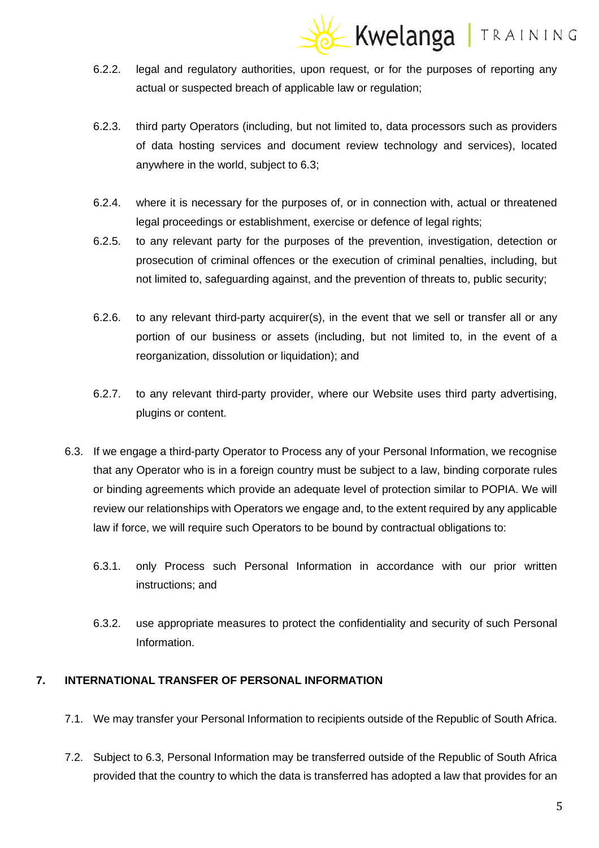## Kwelanga | TRAINING

- 6.2.2. legal and regulatory authorities, upon request, or for the purposes of reporting any actual or suspected breach of applicable law or regulation;
- 6.2.3. third party Operators (including, but not limited to, data processors such as providers of data hosting services and document review technology and services), located anywhere in the world, subject to 6.3;
- 6.2.4. where it is necessary for the purposes of, or in connection with, actual or threatened legal proceedings or establishment, exercise or defence of legal rights;
- 6.2.5. to any relevant party for the purposes of the prevention, investigation, detection or prosecution of criminal offences or the execution of criminal penalties, including, but not limited to, safeguarding against, and the prevention of threats to, public security;
- 6.2.6. to any relevant third-party acquirer(s), in the event that we sell or transfer all or any portion of our business or assets (including, but not limited to, in the event of a reorganization, dissolution or liquidation); and
- 6.2.7. to any relevant third-party provider, where our Website uses third party advertising, plugins or content.
- 6.3. If we engage a third-party Operator to Process any of your Personal Information, we recognise that any Operator who is in a foreign country must be subject to a law, binding corporate rules or binding agreements which provide an adequate level of protection similar to POPIA. We will review our relationships with Operators we engage and, to the extent required by any applicable law if force, we will require such Operators to be bound by contractual obligations to:
	- 6.3.1. only Process such Personal Information in accordance with our prior written instructions; and
	- 6.3.2. use appropriate measures to protect the confidentiality and security of such Personal Information.

## **7. INTERNATIONAL TRANSFER OF PERSONAL INFORMATION**

- 7.1. We may transfer your Personal Information to recipients outside of the Republic of South Africa.
- 7.2. Subject to 6.3, Personal Information may be transferred outside of the Republic of South Africa provided that the country to which the data is transferred has adopted a law that provides for an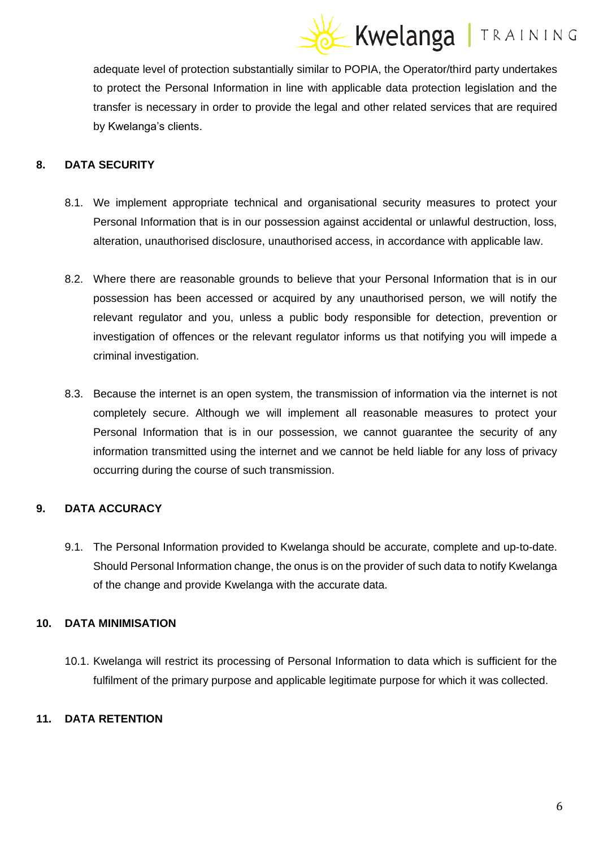## Kwelanga | TRAINING

adequate level of protection substantially similar to POPIA, the Operator/third party undertakes to protect the Personal Information in line with applicable data protection legislation and the transfer is necessary in order to provide the legal and other related services that are required by Kwelanga's clients.

## **8. DATA SECURITY**

- 8.1. We implement appropriate technical and organisational security measures to protect your Personal Information that is in our possession against accidental or unlawful destruction, loss, alteration, unauthorised disclosure, unauthorised access, in accordance with applicable law.
- 8.2. Where there are reasonable grounds to believe that your Personal Information that is in our possession has been accessed or acquired by any unauthorised person, we will notify the relevant regulator and you, unless a public body responsible for detection, prevention or investigation of offences or the relevant regulator informs us that notifying you will impede a criminal investigation.
- 8.3. Because the internet is an open system, the transmission of information via the internet is not completely secure. Although we will implement all reasonable measures to protect your Personal Information that is in our possession, we cannot guarantee the security of any information transmitted using the internet and we cannot be held liable for any loss of privacy occurring during the course of such transmission.

## **9. DATA ACCURACY**

9.1. The Personal Information provided to Kwelanga should be accurate, complete and up-to-date. Should Personal Information change, the onus is on the provider of such data to notify Kwelanga of the change and provide Kwelanga with the accurate data.

## **10. DATA MINIMISATION**

10.1. Kwelanga will restrict its processing of Personal Information to data which is sufficient for the fulfilment of the primary purpose and applicable legitimate purpose for which it was collected.

## **11. DATA RETENTION**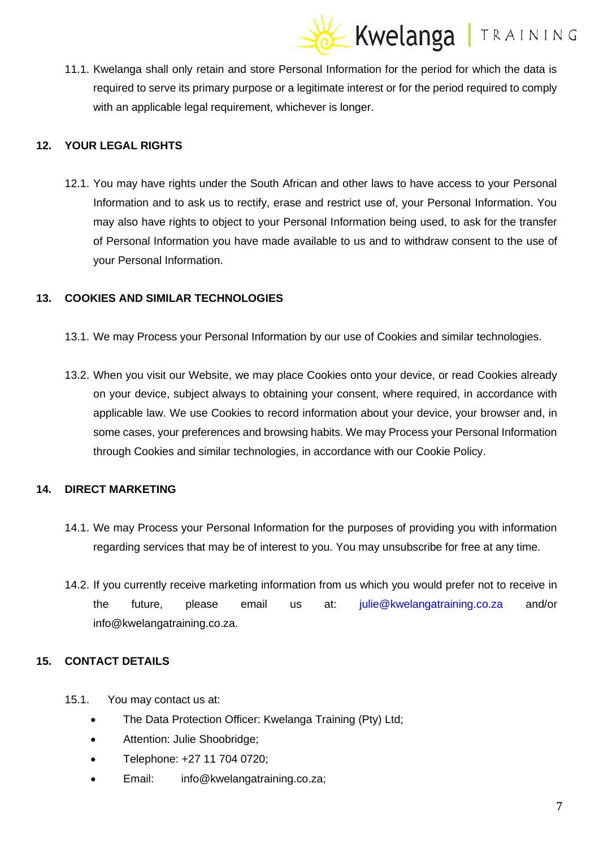# Kwelanga | TRAINING

11.1. Kwelanga shall only retain and store Personal Information for the period for which the data is required to serve its primary purpose or a legitimate interest or for the period required to comply with an applicable legal requirement, whichever is longer.

## **12. YOUR LEGAL RIGHTS**

12.1. You may have rights under the South African and other laws to have access to your Personal Information and to ask us to rectify, erase and restrict use of, your Personal Information. You may also have rights to object to your Personal Information being used, to ask for the transfer of Personal Information you have made available to us and to withdraw consent to the use of your Personal Information.

## **13. COOKIES AND SIMILAR TECHNOLOGIES**

- 13.1. We may Process your Personal Information by our use of Cookies and similar technologies.
- 13.2. When you visit our Website, we may place Cookies onto your device, or read Cookies already on your device, subject always to obtaining your consent, where required, in accordance with applicable law. We use Cookies to record information about your device, your browser and, in some cases, your preferences and browsing habits. We may Process your Personal Information through Cookies and similar technologies, in accordance with our Cookie Policy.

## **14. DIRECT MARKETING**

- 14.1. We may Process your Personal Information for the purposes of providing you with information regarding services that may be of interest to you. You may unsubscribe for free at any time.
- 14.2. If you currently receive marketing information from us which you would prefer not to receive in the future, please email us at: [julie@kwelangatraining.co.za](mailto:julie@kwelangatraining.co.za) and/or info@kwelangatraining.co.za.

## **15. CONTACT DETAILS**

- 15.1. You may contact us at:
	- The Data Protection Officer: Kwelanga Training (Pty) Ltd;
	- Attention: Julie Shoobridge;
	- Telephone: +27 11 704 0720;
	- Email: info@kwelangatraining.co.za;